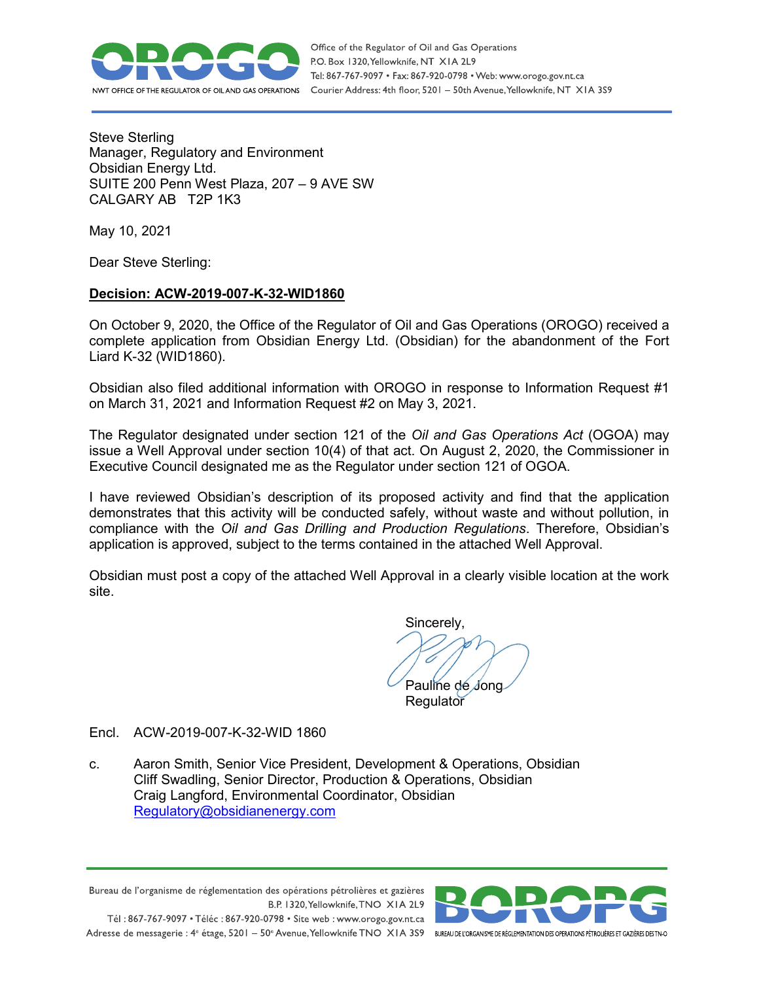

Steve Sterling Manager, Regulatory and Environment Obsidian Energy Ltd. SUITE 200 Penn West Plaza, 207 – 9 AVE SW CALGARY AB T2P 1K3

May 10, 2021

Dear Steve Sterling:

## **Decision: ACW-2019-007-K-32-WID1860**

On October 9, 2020, the Office of the Regulator of Oil and Gas Operations (OROGO) received a complete application from Obsidian Energy Ltd. (Obsidian) for the abandonment of the Fort Liard K-32 (WID1860).

Obsidian also filed additional information with OROGO in response to Information Request #1 on March 31, 2021 and Information Request #2 on May 3, 2021.

The Regulator designated under section 121 of the *Oil and Gas Operations Act* (OGOA) may issue a Well Approval under section 10(4) of that act. On August 2, 2020, the Commissioner in Executive Council designated me as the Regulator under section 121 of OGOA.

I have reviewed Obsidian's description of its proposed activity and find that the application demonstrates that this activity will be conducted safely, without waste and without pollution, in compliance with the *Oil and Gas Drilling and Production Regulations*. Therefore, Obsidian's application is approved, subject to the terms contained in the attached Well Approval.

Obsidian must post a copy of the attached Well Approval in a clearly visible location at the work site.

Sincerely, Pauline de Jong

**Regulator** 

Encl. ACW-2019-007-K-32-WID 1860

c. Aaron Smith, Senior Vice President, Development & Operations, Obsidian Cliff Swadling, Senior Director, Production & Operations, Obsidian Craig Langford, Environmental Coordinator, Obsidian [Regulatory@obsidianenergy.com](mailto:Regulatory@obsidianenergy.com) 

Bureau de l'organisme de réglementation des opérations pétrolières et gazières B.P. 1320, Yellowknife, TNO XIA 2L9 Tél: 867-767-9097 • Téléc: 867-920-0798 • Site web: www.orogo.gov.nt.ca Adresse de messagerie : 4<sup>e</sup> étage, 5201 - 50° Avenue, Yellowknife TNO XIA 3S9 BUREAU DEL'ORGANISME DE RÉGLEMENTATION DES OPERATIONS PÉTROLIÈRES ET GAZIÈRES DESTNO

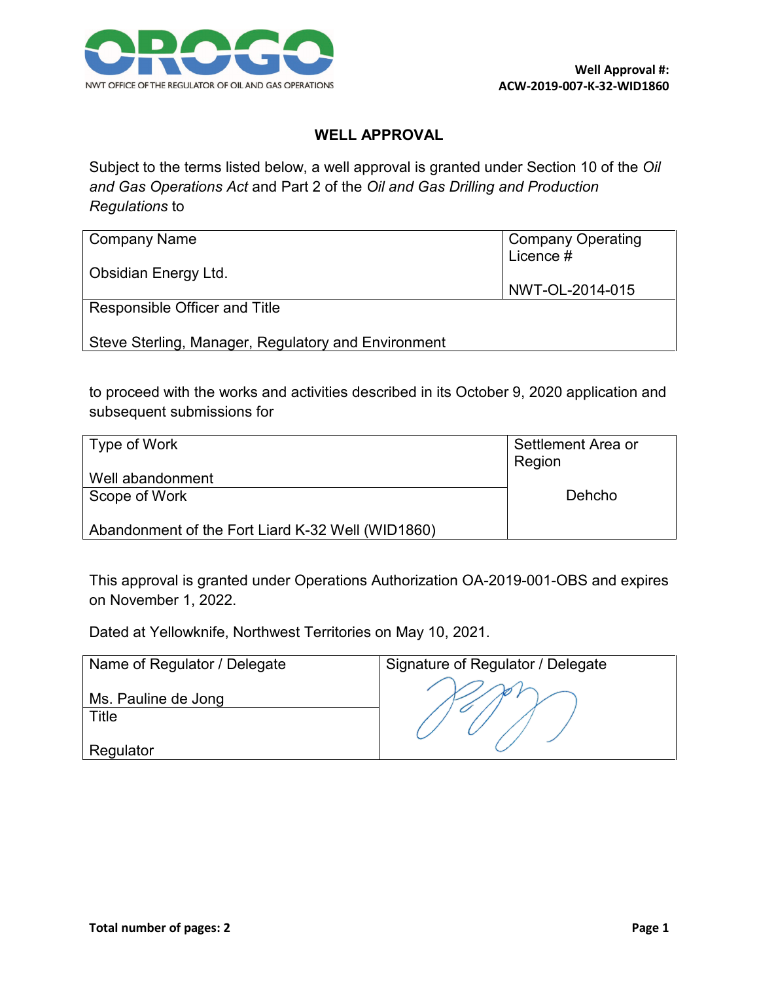

## **WELL APPROVAL**

Subject to the terms listed below, a well approval is granted under Section 10 of the *Oil and Gas Operations Act* and Part 2 of the *Oil and Gas Drilling and Production Regulations* to

| Company Name                                        | <b>Company Operating</b><br>Licence # |
|-----------------------------------------------------|---------------------------------------|
| <b>Obsidian Energy Ltd.</b>                         | NWT-OL-2014-015                       |
| Responsible Officer and Title                       |                                       |
| Steve Sterling, Manager, Regulatory and Environment |                                       |

to proceed with the works and activities described in its October 9, 2020 application and subsequent submissions for

| Type of Work                                      | Settlement Area or<br>Region |
|---------------------------------------------------|------------------------------|
| Well abandonment                                  |                              |
| Scope of Work                                     | Dehcho                       |
| Abandonment of the Fort Liard K-32 Well (WID1860) |                              |

This approval is granted under Operations Authorization OA-2019-001-OBS and expires on November 1, 2022.

Dated at Yellowknife, Northwest Territories on May 10, 2021.

| Name of Regulator / Delegate | Signature of Regulator / Delegate |
|------------------------------|-----------------------------------|
| Ms. Pauline de Jong          |                                   |
| Title                        |                                   |
| Regulator                    |                                   |